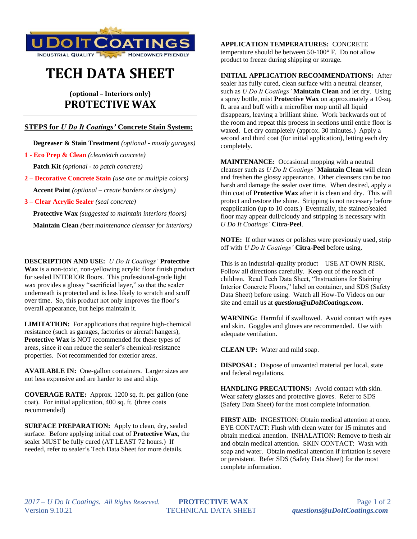

# **TECH DATA SHEET**

# **(optional – Interiors only) PROTECTIVE WAX**

## **STEPS for** *U Do It Coatings'* **Concrete Stain System:**

 **Degreaser & Stain Treatment** *(optional - mostly garages)*

**1 - Eco Prep & Clean** *(clean/etch concrete)*

 **Patch Kit** *(optional - to patch concrete)*

**2 – Decorative Concrete Stain** *(use one or multiple colors)*  **Accent Paint** *(optional – create borders or designs)*

**3 – Clear Acrylic Sealer** *(seal concrete)*

 **Protective Wax** *(suggested to maintain interiors floors)*

 **Maintain Clean** *(best maintenance cleanser for interiors)*

**DESCRIPTION AND USE:** *U Do It Coatings'* **Protective Wax** is a non-toxic, non-yellowing acrylic floor finish product for sealed INTERIOR floors. This professional-grade light wax provides a glossy "sacrificial layer," so that the sealer underneath is protected and is less likely to scratch and scuff over time. So, this product not only improves the floor's overall appearance, but helps maintain it.

**LIMITATION:** For applications that require high-chemical resistance (such as garages, factories or aircraft hangers), **Protective Wax** is NOT recommended for these types of areas, since it can reduce the sealer's chemical-resistance properties. Not recommended for exterior areas.

**AVAILABLE IN:** One-gallon containers. Larger sizes are not less expensive and are harder to use and ship.

**COVERAGE RATE:** Approx. 1200 sq. ft. per gallon (one coat). For initial application, 400 sq. ft. (three coats recommended)

**SURFACE PREPARATION:** Apply to clean, dry, sealed surface. Before applying initial coat of **Protective Wax**, the sealer MUST be fully cured (AT LEAST 72 hours.) If needed, refer to sealer's Tech Data Sheet for more details.

**APPLICATION TEMPERATURES:** CONCRETE temperature should be between 50-100° F. Do not allow product to freeze during shipping or storage.

### **INITIAL APPLICATION RECOMMENDATIONS:** After

sealer has fully cured, clean surface with a neutral cleanser, such as *U Do It Coatings'* **Maintain Clean** and let dry. Using a spray bottle, mist **Protective Wax** on approximately a 10-sq. ft. area and buff with a microfiber mop until all liquid disappears, leaving a brilliant shine. Work backwards out of the room and repeat this process in sections until entire floor is waxed. Let dry completely (approx. 30 minutes.) Apply a second and third coat (for initial application), letting each dry completely.

**MAINTENANCE:** Occasional mopping with a neutral cleanser such as *U Do It Coatings'* **Maintain Clean** will clean and freshen the glossy appearance. Other cleansers can be too harsh and damage the sealer over time. When desired, apply a thin coat of **Protective Wax** after it is clean and dry. This will protect and restore the shine. Stripping is not necessary before reapplication (up to 10 coats.) Eventually, the stained/sealed floor may appear dull/cloudy and stripping is necessary with *U Do It Coatings'* **Citra-Peel**.

**NOTE:** If other waxes or polishes were previously used, strip off with *U Do It Coatings'* **Citra-Peel** before using.

This is an industrial-quality product – USE AT OWN RISK. Follow all directions carefully. Keep out of the reach of children. Read Tech Data Sheet, "Instructions for Staining Interior Concrete Floors," label on container, and SDS (Safety Data Sheet) before using. Watch all How-To Videos on our site and email us at *questions@uDoItCoatings.com*.

**WARNING:** Harmful if swallowed. Avoid contact with eyes and skin. Goggles and gloves are recommended. Use with adequate ventilation.

**CLEAN UP:** Water and mild soap.

**DISPOSAL:** Dispose of unwanted material per local, state and federal regulations.

**HANDLING PRECAUTIONS:** Avoid contact with skin. Wear safety glasses and protective gloves. Refer to SDS (Safety Data Sheet) for the most complete information.

**FIRST AID:** INGESTION: Obtain medical attention at once. EYE CONTACT: Flush with clean water for 15 minutes and obtain medical attention. INHALATION: Remove to fresh air and obtain medical attention. SKIN CONTACT: Wash with soap and water. Obtain medical attention if irritation is severe or persistent. Refer SDS (Safety Data Sheet) for the most complete information.